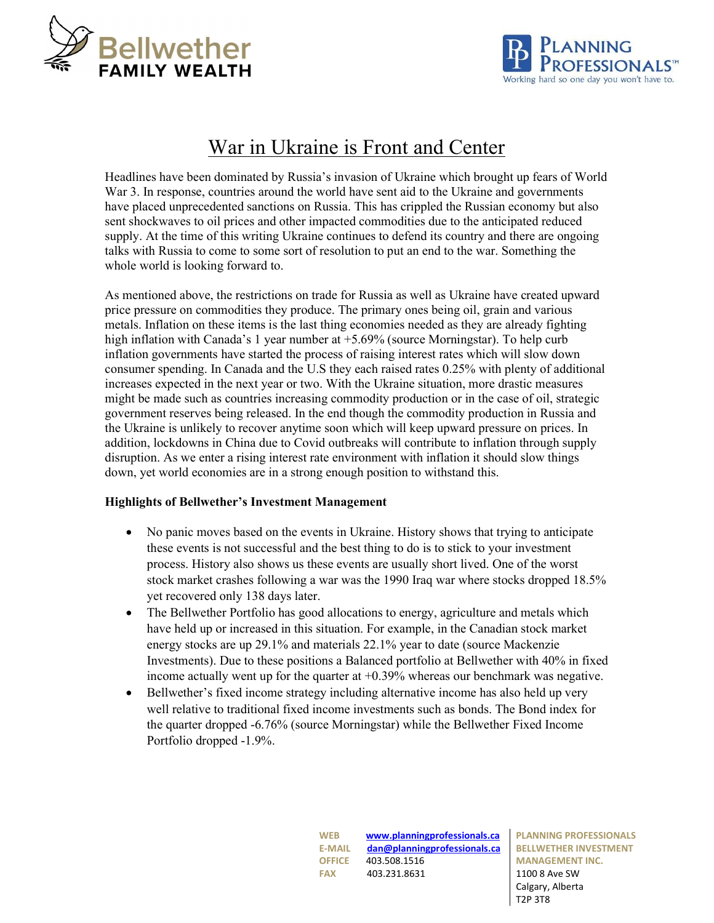



# War in Ukraine is Front and Center

Headlines have been dominated by Russia's invasion of Ukraine which brought up fears of World War 3. In response, countries around the world have sent aid to the Ukraine and governments have placed unprecedented sanctions on Russia. This has crippled the Russian economy but also sent shockwaves to oil prices and other impacted commodities due to the anticipated reduced supply. At the time of this writing Ukraine continues to defend its country and there are ongoing talks with Russia to come to some sort of resolution to put an end to the war. Something the whole world is looking forward to.

As mentioned above, the restrictions on trade for Russia as well as Ukraine have created upward price pressure on commodities they produce. The primary ones being oil, grain and various metals. Inflation on these items is the last thing economies needed as they are already fighting high inflation with Canada's 1 year number at +5.69% (source Morningstar). To help curb inflation governments have started the process of raising interest rates which will slow down consumer spending. In Canada and the U.S they each raised rates 0.25% with plenty of additional increases expected in the next year or two. With the Ukraine situation, more drastic measures might be made such as countries increasing commodity production or in the case of oil, strategic government reserves being released. In the end though the commodity production in Russia and the Ukraine is unlikely to recover anytime soon which will keep upward pressure on prices. In addition, lockdowns in China due to Covid outbreaks will contribute to inflation through supply disruption. As we enter a rising interest rate environment with inflation it should slow things down, yet world economies are in a strong enough position to withstand this.

## Highlights of Bellwether's Investment Management

- No panic moves based on the events in Ukraine. History shows that trying to anticipate these events is not successful and the best thing to do is to stick to your investment process. History also shows us these events are usually short lived. One of the worst stock market crashes following a war was the 1990 Iraq war where stocks dropped 18.5% yet recovered only 138 days later.
- The Bellwether Portfolio has good allocations to energy, agriculture and metals which have held up or increased in this situation. For example, in the Canadian stock market energy stocks are up 29.1% and materials 22.1% year to date (source Mackenzie Investments). Due to these positions a Balanced portfolio at Bellwether with 40% in fixed income actually went up for the quarter at  $+0.39\%$  whereas our benchmark was negative.
- Bellwether's fixed income strategy including alternative income has also held up very well relative to traditional fixed income investments such as bonds. The Bond index for the quarter dropped -6.76% (source Morningstar) while the Bellwether Fixed Income Portfolio dropped -1.9%.

WEB www.planningprofessionals.ca E-MAIL dan@planningprofessionals.ca OFFICE 403.508.1516 FAX 403.231.8631 1100 8 Ave SW

PLANNING PROFESSIONALS BELLWETHER INVESTMENT MANAGEMENT INC. Calgary, Alberta T2P 3T8